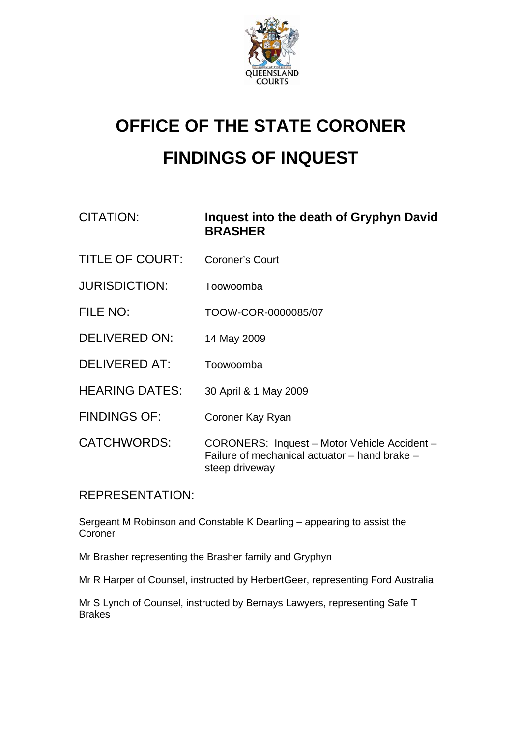

# **OFFICE OF THE STATE CORONER FINDINGS OF INQUEST**

| <b>CITATION:</b>       | Inquest into the death of Gryphyn David<br><b>BRASHER</b>                                                       |
|------------------------|-----------------------------------------------------------------------------------------------------------------|
| <b>TITLE OF COURT:</b> | <b>Coroner's Court</b>                                                                                          |
| <b>JURISDICTION:</b>   | Toowoomba                                                                                                       |
| FILE NO:               | TOOW-COR-0000085/07                                                                                             |
| <b>DELIVERED ON:</b>   | 14 May 2009                                                                                                     |
| <b>DELIVERED AT:</b>   | Toowoomba                                                                                                       |
| <b>HEARING DATES:</b>  | 30 April & 1 May 2009                                                                                           |
| <b>FINDINGS OF:</b>    | Coroner Kay Ryan                                                                                                |
| <b>CATCHWORDS:</b>     | CORONERS: Inquest - Motor Vehicle Accident -<br>Failure of mechanical actuator - hand brake -<br>steep driveway |

## REPRESENTATION:

Sergeant M Robinson and Constable K Dearling – appearing to assist the **Coroner** 

Mr Brasher representing the Brasher family and Gryphyn

Mr R Harper of Counsel, instructed by HerbertGeer, representing Ford Australia

Mr S Lynch of Counsel, instructed by Bernays Lawyers, representing Safe T Brakes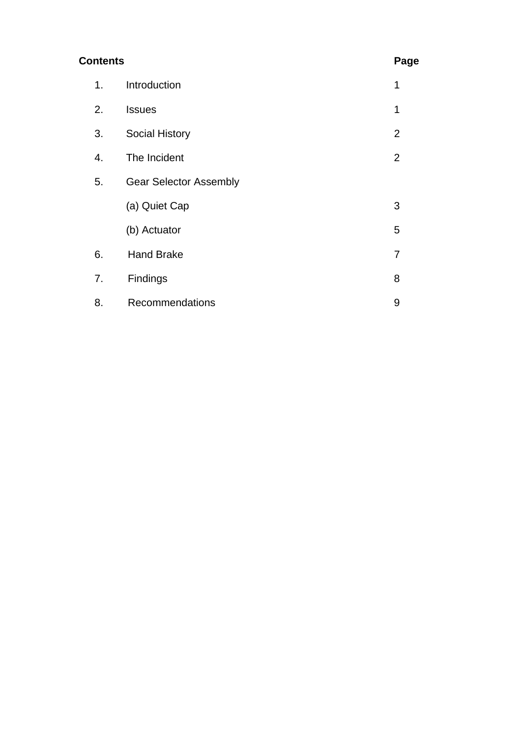| <b>Contents</b> |    |                               | Page           |
|-----------------|----|-------------------------------|----------------|
|                 | 1. | Introduction                  | 1              |
|                 | 2. | <b>Issues</b>                 | 1              |
|                 | 3. | <b>Social History</b>         | $\overline{2}$ |
|                 | 4. | The Incident                  | 2              |
|                 | 5. | <b>Gear Selector Assembly</b> |                |
|                 |    | (a) Quiet Cap                 | 3              |
|                 |    | (b) Actuator                  | 5              |
|                 | 6. | <b>Hand Brake</b>             | $\overline{7}$ |
|                 | 7. | Findings                      | 8              |
|                 | 8. | Recommendations               | 9              |
|                 |    |                               |                |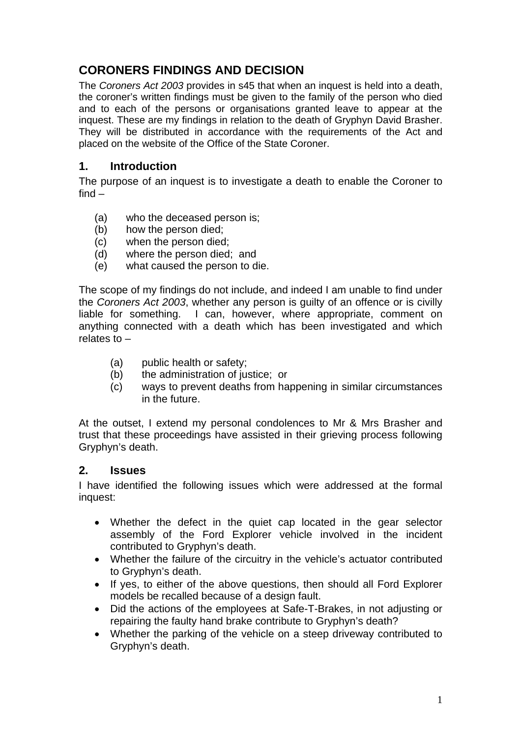# **CORONERS FINDINGS AND DECISION**

The *Coroners Act 2003* provides in s45 that when an inquest is held into a death, the coroner's written findings must be given to the family of the person who died and to each of the persons or organisations granted leave to appear at the inquest. These are my findings in relation to the death of Gryphyn David Brasher. They will be distributed in accordance with the requirements of the Act and placed on the website of the Office of the State Coroner.

#### **1. Introduction**

The purpose of an inquest is to investigate a death to enable the Coroner to find –

- (a) who the deceased person is;
- (b) how the person died;
- (c) when the person died;
- (d) where the person died; and
- (e) what caused the person to die.

The scope of my findings do not include, and indeed I am unable to find under the *Coroners Act 2003*, whether any person is guilty of an offence or is civilly liable for something. I can, however, where appropriate, comment on anything connected with a death which has been investigated and which relates to –

- (a) public health or safety;
- (b) the administration of justice; or
- (c) ways to prevent deaths from happening in similar circumstances in the future.

At the outset, I extend my personal condolences to Mr & Mrs Brasher and trust that these proceedings have assisted in their grieving process following Gryphyn's death.

#### **2. Issues**

I have identified the following issues which were addressed at the formal inquest:

- Whether the defect in the quiet cap located in the gear selector assembly of the Ford Explorer vehicle involved in the incident contributed to Gryphyn's death.
- Whether the failure of the circuitry in the vehicle's actuator contributed to Gryphyn's death.
- If yes, to either of the above questions, then should all Ford Explorer models be recalled because of a design fault.
- Did the actions of the employees at Safe-T-Brakes, in not adjusting or repairing the faulty hand brake contribute to Gryphyn's death?
- Whether the parking of the vehicle on a steep driveway contributed to Gryphyn's death.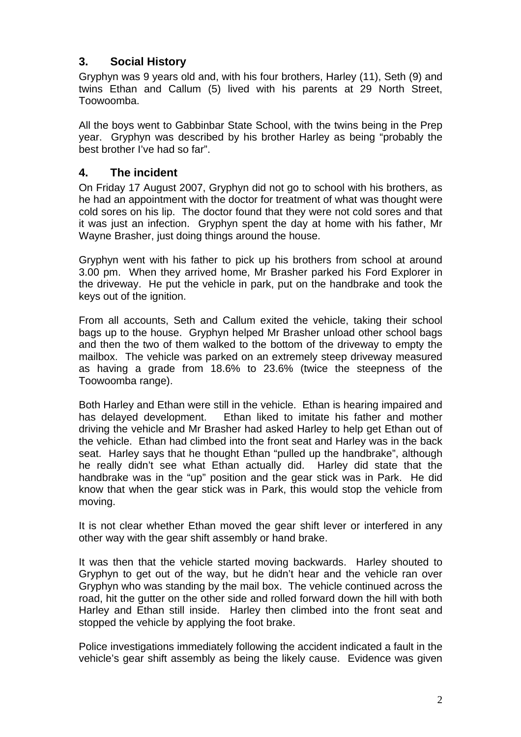## **3. Social History**

Gryphyn was 9 years old and, with his four brothers, Harley (11), Seth (9) and twins Ethan and Callum (5) lived with his parents at 29 North Street, Toowoomba.

All the boys went to Gabbinbar State School, with the twins being in the Prep year. Gryphyn was described by his brother Harley as being "probably the best brother I've had so far".

#### **4. The incident**

On Friday 17 August 2007, Gryphyn did not go to school with his brothers, as he had an appointment with the doctor for treatment of what was thought were cold sores on his lip. The doctor found that they were not cold sores and that it was just an infection. Gryphyn spent the day at home with his father, Mr Wayne Brasher, just doing things around the house.

Gryphyn went with his father to pick up his brothers from school at around 3.00 pm. When they arrived home, Mr Brasher parked his Ford Explorer in the driveway. He put the vehicle in park, put on the handbrake and took the keys out of the ignition.

From all accounts, Seth and Callum exited the vehicle, taking their school bags up to the house. Gryphyn helped Mr Brasher unload other school bags and then the two of them walked to the bottom of the driveway to empty the mailbox. The vehicle was parked on an extremely steep driveway measured as having a grade from 18.6% to 23.6% (twice the steepness of the Toowoomba range).

Both Harley and Ethan were still in the vehicle. Ethan is hearing impaired and has delayed development. Ethan liked to imitate his father and mother driving the vehicle and Mr Brasher had asked Harley to help get Ethan out of the vehicle. Ethan had climbed into the front seat and Harley was in the back seat. Harley says that he thought Ethan "pulled up the handbrake", although he really didn't see what Ethan actually did. Harley did state that the handbrake was in the "up" position and the gear stick was in Park. He did know that when the gear stick was in Park, this would stop the vehicle from moving.

It is not clear whether Ethan moved the gear shift lever or interfered in any other way with the gear shift assembly or hand brake.

It was then that the vehicle started moving backwards. Harley shouted to Gryphyn to get out of the way, but he didn't hear and the vehicle ran over Gryphyn who was standing by the mail box. The vehicle continued across the road, hit the gutter on the other side and rolled forward down the hill with both Harley and Ethan still inside. Harley then climbed into the front seat and stopped the vehicle by applying the foot brake.

Police investigations immediately following the accident indicated a fault in the vehicle's gear shift assembly as being the likely cause. Evidence was given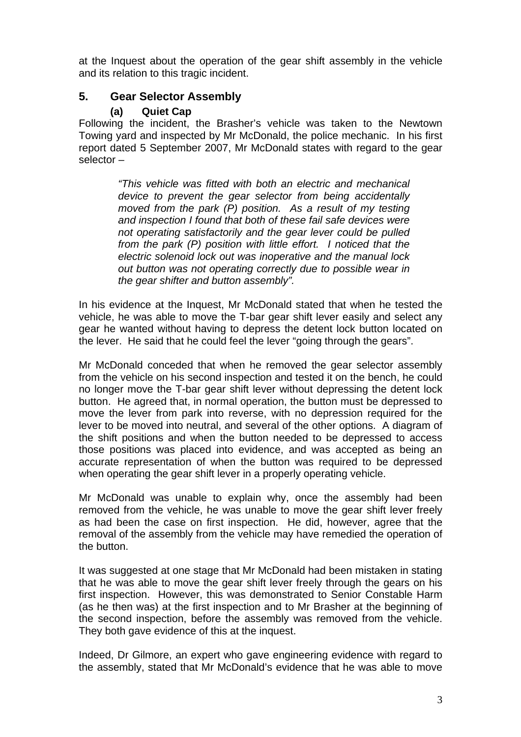at the Inquest about the operation of the gear shift assembly in the vehicle and its relation to this tragic incident.

## **5. Gear Selector Assembly**

#### **(a) Quiet Cap**

Following the incident, the Brasher's vehicle was taken to the Newtown Towing yard and inspected by Mr McDonald, the police mechanic. In his first report dated 5 September 2007, Mr McDonald states with regard to the gear selector –

> *"This vehicle was fitted with both an electric and mechanical device to prevent the gear selector from being accidentally moved from the park (P) position. As a result of my testing and inspection I found that both of these fail safe devices were not operating satisfactorily and the gear lever could be pulled from the park (P) position with little effort. I noticed that the electric solenoid lock out was inoperative and the manual lock out button was not operating correctly due to possible wear in the gear shifter and button assembly".*

In his evidence at the Inquest, Mr McDonald stated that when he tested the vehicle, he was able to move the T-bar gear shift lever easily and select any gear he wanted without having to depress the detent lock button located on the lever. He said that he could feel the lever "going through the gears".

Mr McDonald conceded that when he removed the gear selector assembly from the vehicle on his second inspection and tested it on the bench, he could no longer move the T-bar gear shift lever without depressing the detent lock button. He agreed that, in normal operation, the button must be depressed to move the lever from park into reverse, with no depression required for the lever to be moved into neutral, and several of the other options. A diagram of the shift positions and when the button needed to be depressed to access those positions was placed into evidence, and was accepted as being an accurate representation of when the button was required to be depressed when operating the gear shift lever in a properly operating vehicle.

Mr McDonald was unable to explain why, once the assembly had been removed from the vehicle, he was unable to move the gear shift lever freely as had been the case on first inspection. He did, however, agree that the removal of the assembly from the vehicle may have remedied the operation of the button.

It was suggested at one stage that Mr McDonald had been mistaken in stating that he was able to move the gear shift lever freely through the gears on his first inspection. However, this was demonstrated to Senior Constable Harm (as he then was) at the first inspection and to Mr Brasher at the beginning of the second inspection, before the assembly was removed from the vehicle. They both gave evidence of this at the inquest.

Indeed, Dr Gilmore, an expert who gave engineering evidence with regard to the assembly, stated that Mr McDonald's evidence that he was able to move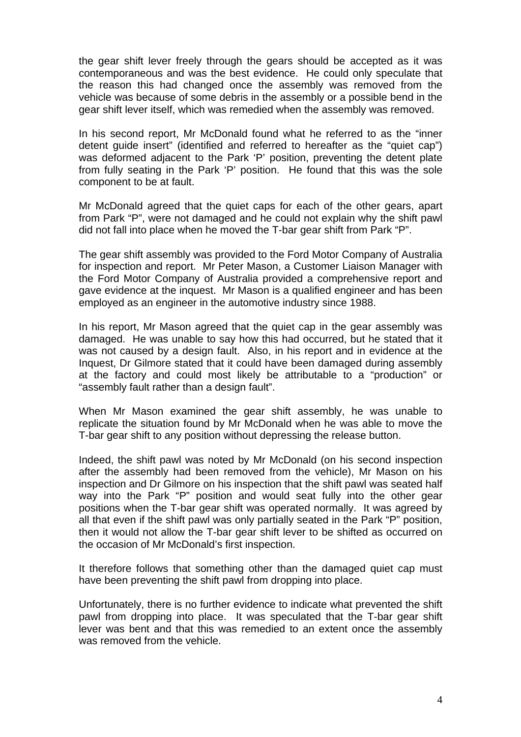the gear shift lever freely through the gears should be accepted as it was contemporaneous and was the best evidence. He could only speculate that the reason this had changed once the assembly was removed from the vehicle was because of some debris in the assembly or a possible bend in the gear shift lever itself, which was remedied when the assembly was removed.

In his second report, Mr McDonald found what he referred to as the "inner detent guide insert" (identified and referred to hereafter as the "quiet cap") was deformed adjacent to the Park 'P' position, preventing the detent plate from fully seating in the Park 'P' position. He found that this was the sole component to be at fault.

Mr McDonald agreed that the quiet caps for each of the other gears, apart from Park "P", were not damaged and he could not explain why the shift pawl did not fall into place when he moved the T-bar gear shift from Park "P".

The gear shift assembly was provided to the Ford Motor Company of Australia for inspection and report. Mr Peter Mason, a Customer Liaison Manager with the Ford Motor Company of Australia provided a comprehensive report and gave evidence at the inquest. Mr Mason is a qualified engineer and has been employed as an engineer in the automotive industry since 1988.

In his report, Mr Mason agreed that the quiet cap in the gear assembly was damaged. He was unable to say how this had occurred, but he stated that it was not caused by a design fault. Also, in his report and in evidence at the Inquest, Dr Gilmore stated that it could have been damaged during assembly at the factory and could most likely be attributable to a "production" or "assembly fault rather than a design fault".

When Mr Mason examined the gear shift assembly, he was unable to replicate the situation found by Mr McDonald when he was able to move the T-bar gear shift to any position without depressing the release button.

Indeed, the shift pawl was noted by Mr McDonald (on his second inspection after the assembly had been removed from the vehicle), Mr Mason on his inspection and Dr Gilmore on his inspection that the shift pawl was seated half way into the Park "P" position and would seat fully into the other gear positions when the T-bar gear shift was operated normally. It was agreed by all that even if the shift pawl was only partially seated in the Park "P" position, then it would not allow the T-bar gear shift lever to be shifted as occurred on the occasion of Mr McDonald's first inspection.

It therefore follows that something other than the damaged quiet cap must have been preventing the shift pawl from dropping into place.

Unfortunately, there is no further evidence to indicate what prevented the shift pawl from dropping into place. It was speculated that the T-bar gear shift lever was bent and that this was remedied to an extent once the assembly was removed from the vehicle.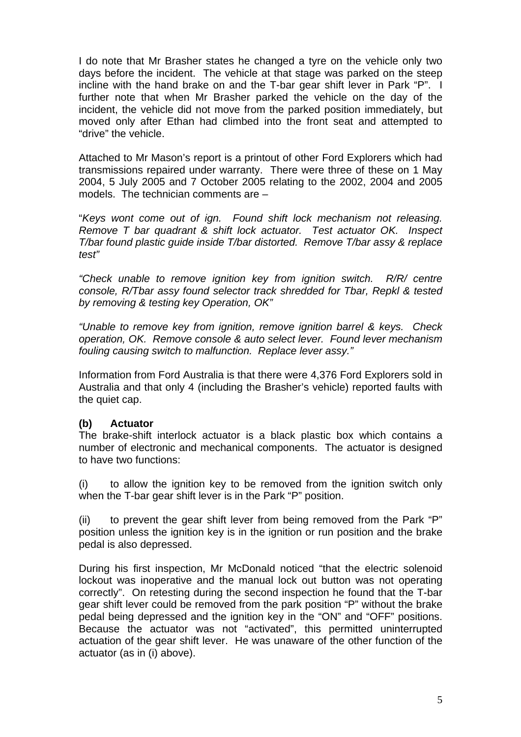I do note that Mr Brasher states he changed a tyre on the vehicle only two days before the incident. The vehicle at that stage was parked on the steep incline with the hand brake on and the T-bar gear shift lever in Park "P". I further note that when Mr Brasher parked the vehicle on the day of the incident, the vehicle did not move from the parked position immediately, but moved only after Ethan had climbed into the front seat and attempted to "drive" the vehicle.

Attached to Mr Mason's report is a printout of other Ford Explorers which had transmissions repaired under warranty. There were three of these on 1 May 2004, 5 July 2005 and 7 October 2005 relating to the 2002, 2004 and 2005 models. The technician comments are –

"*Keys wont come out of ign. Found shift lock mechanism not releasing. Remove T bar quadrant & shift lock actuator. Test actuator OK. Inspect T/bar found plastic guide inside T/bar distorted. Remove T/bar assy & replace test"* 

*"Check unable to remove ignition key from ignition switch. R/R/ centre console, R/Tbar assy found selector track shredded for Tbar, Repkl & tested by removing & testing key Operation, OK"* 

*"Unable to remove key from ignition, remove ignition barrel & keys. Check operation, OK. Remove console & auto select lever. Found lever mechanism fouling causing switch to malfunction. Replace lever assy."* 

Information from Ford Australia is that there were 4,376 Ford Explorers sold in Australia and that only 4 (including the Brasher's vehicle) reported faults with the quiet cap.

#### **(b) Actuator**

The brake-shift interlock actuator is a black plastic box which contains a number of electronic and mechanical components. The actuator is designed to have two functions:

(i) to allow the ignition key to be removed from the ignition switch only when the T-bar gear shift lever is in the Park "P" position.

(ii) to prevent the gear shift lever from being removed from the Park "P" position unless the ignition key is in the ignition or run position and the brake pedal is also depressed.

During his first inspection, Mr McDonald noticed "that the electric solenoid lockout was inoperative and the manual lock out button was not operating correctly". On retesting during the second inspection he found that the T-bar gear shift lever could be removed from the park position "P" without the brake pedal being depressed and the ignition key in the "ON" and "OFF" positions. Because the actuator was not "activated", this permitted uninterrupted actuation of the gear shift lever. He was unaware of the other function of the actuator (as in (i) above).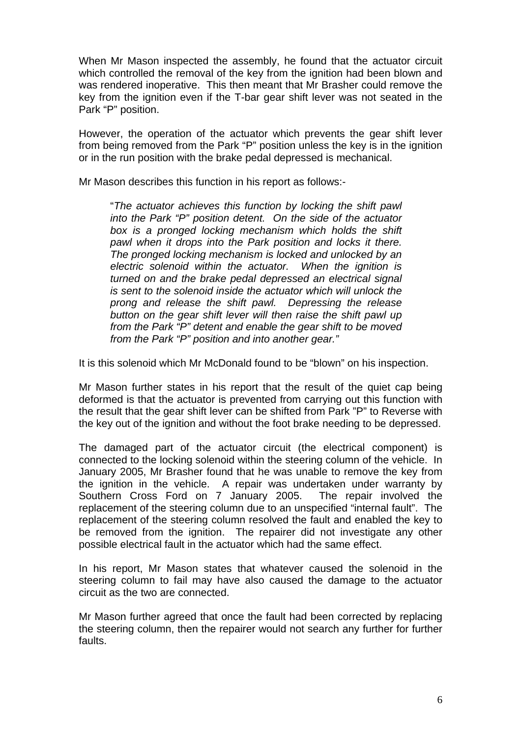When Mr Mason inspected the assembly, he found that the actuator circuit which controlled the removal of the key from the ignition had been blown and was rendered inoperative. This then meant that Mr Brasher could remove the key from the ignition even if the T-bar gear shift lever was not seated in the Park "P" position.

However, the operation of the actuator which prevents the gear shift lever from being removed from the Park "P" position unless the key is in the ignition or in the run position with the brake pedal depressed is mechanical.

Mr Mason describes this function in his report as follows:-

"*The actuator achieves this function by locking the shift pawl into the Park "P" position detent. On the side of the actuator box is a pronged locking mechanism which holds the shift pawl when it drops into the Park position and locks it there. The pronged locking mechanism is locked and unlocked by an electric solenoid within the actuator. When the ignition is turned on and the brake pedal depressed an electrical signal is sent to the solenoid inside the actuator which will unlock the prong and release the shift pawl. Depressing the release button on the gear shift lever will then raise the shift pawl up from the Park "P" detent and enable the gear shift to be moved from the Park "P" position and into another gear."* 

It is this solenoid which Mr McDonald found to be "blown" on his inspection.

Mr Mason further states in his report that the result of the quiet cap being deformed is that the actuator is prevented from carrying out this function with the result that the gear shift lever can be shifted from Park "P" to Reverse with the key out of the ignition and without the foot brake needing to be depressed.

The damaged part of the actuator circuit (the electrical component) is connected to the locking solenoid within the steering column of the vehicle. In January 2005, Mr Brasher found that he was unable to remove the key from the ignition in the vehicle. A repair was undertaken under warranty by Southern Cross Ford on 7 January 2005. The repair involved the replacement of the steering column due to an unspecified "internal fault". The replacement of the steering column resolved the fault and enabled the key to be removed from the ignition. The repairer did not investigate any other possible electrical fault in the actuator which had the same effect.

In his report, Mr Mason states that whatever caused the solenoid in the steering column to fail may have also caused the damage to the actuator circuit as the two are connected.

Mr Mason further agreed that once the fault had been corrected by replacing the steering column, then the repairer would not search any further for further faults.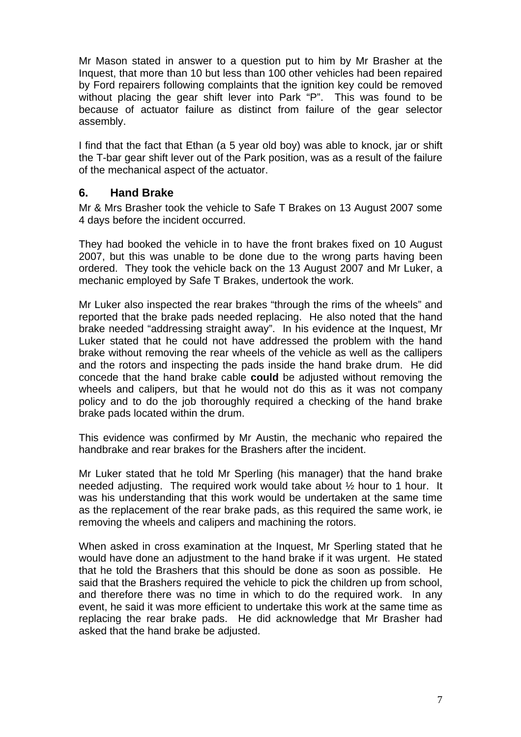Mr Mason stated in answer to a question put to him by Mr Brasher at the Inquest, that more than 10 but less than 100 other vehicles had been repaired by Ford repairers following complaints that the ignition key could be removed without placing the gear shift lever into Park "P". This was found to be because of actuator failure as distinct from failure of the gear selector assembly.

I find that the fact that Ethan (a 5 year old boy) was able to knock, jar or shift the T-bar gear shift lever out of the Park position, was as a result of the failure of the mechanical aspect of the actuator.

#### **6. Hand Brake**

Mr & Mrs Brasher took the vehicle to Safe T Brakes on 13 August 2007 some 4 days before the incident occurred.

They had booked the vehicle in to have the front brakes fixed on 10 August 2007, but this was unable to be done due to the wrong parts having been ordered. They took the vehicle back on the 13 August 2007 and Mr Luker, a mechanic employed by Safe T Brakes, undertook the work.

Mr Luker also inspected the rear brakes "through the rims of the wheels" and reported that the brake pads needed replacing. He also noted that the hand brake needed "addressing straight away". In his evidence at the Inquest, Mr Luker stated that he could not have addressed the problem with the hand brake without removing the rear wheels of the vehicle as well as the callipers and the rotors and inspecting the pads inside the hand brake drum. He did concede that the hand brake cable **could** be adjusted without removing the wheels and calipers, but that he would not do this as it was not company policy and to do the job thoroughly required a checking of the hand brake brake pads located within the drum.

This evidence was confirmed by Mr Austin, the mechanic who repaired the handbrake and rear brakes for the Brashers after the incident.

Mr Luker stated that he told Mr Sperling (his manager) that the hand brake needed adjusting. The required work would take about ½ hour to 1 hour. It was his understanding that this work would be undertaken at the same time as the replacement of the rear brake pads, as this required the same work, ie removing the wheels and calipers and machining the rotors.

When asked in cross examination at the Inquest, Mr Sperling stated that he would have done an adjustment to the hand brake if it was urgent. He stated that he told the Brashers that this should be done as soon as possible. He said that the Brashers required the vehicle to pick the children up from school, and therefore there was no time in which to do the required work. In any event, he said it was more efficient to undertake this work at the same time as replacing the rear brake pads. He did acknowledge that Mr Brasher had asked that the hand brake be adjusted.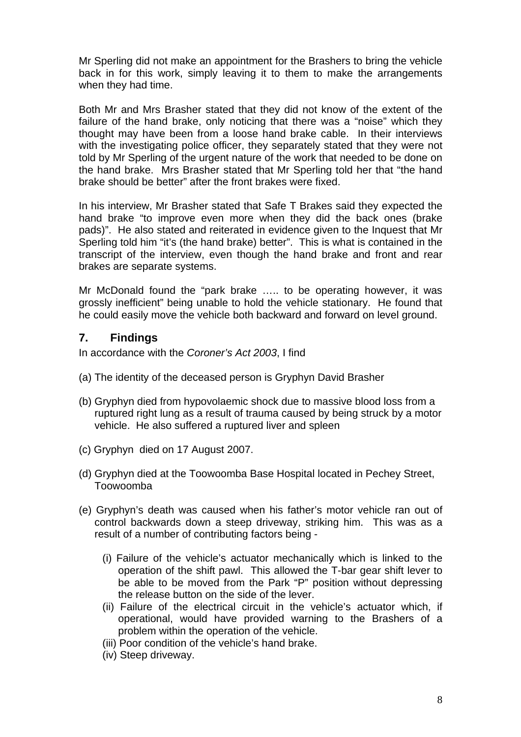Mr Sperling did not make an appointment for the Brashers to bring the vehicle back in for this work, simply leaving it to them to make the arrangements when they had time.

Both Mr and Mrs Brasher stated that they did not know of the extent of the failure of the hand brake, only noticing that there was a "noise" which they thought may have been from a loose hand brake cable. In their interviews with the investigating police officer, they separately stated that they were not told by Mr Sperling of the urgent nature of the work that needed to be done on the hand brake. Mrs Brasher stated that Mr Sperling told her that "the hand brake should be better" after the front brakes were fixed.

In his interview, Mr Brasher stated that Safe T Brakes said they expected the hand brake "to improve even more when they did the back ones (brake pads)". He also stated and reiterated in evidence given to the Inquest that Mr Sperling told him "it's (the hand brake) better". This is what is contained in the transcript of the interview, even though the hand brake and front and rear brakes are separate systems.

Mr McDonald found the "park brake ….. to be operating however, it was grossly inefficient" being unable to hold the vehicle stationary. He found that he could easily move the vehicle both backward and forward on level ground.

### **7. Findings**

In accordance with the *Coroner's Act 2003*, I find

- (a) The identity of the deceased person is Gryphyn David Brasher
- (b) Gryphyn died from hypovolaemic shock due to massive blood loss from a ruptured right lung as a result of trauma caused by being struck by a motor vehicle. He also suffered a ruptured liver and spleen
- (c) Gryphyn died on 17 August 2007.
- (d) Gryphyn died at the Toowoomba Base Hospital located in Pechey Street, Toowoomba
- (e) Gryphyn's death was caused when his father's motor vehicle ran out of control backwards down a steep driveway, striking him. This was as a result of a number of contributing factors being -
	- (i) Failure of the vehicle's actuator mechanically which is linked to the operation of the shift pawl. This allowed the T-bar gear shift lever to be able to be moved from the Park "P" position without depressing the release button on the side of the lever.
	- (ii) Failure of the electrical circuit in the vehicle's actuator which, if operational, would have provided warning to the Brashers of a problem within the operation of the vehicle.
	- (iii) Poor condition of the vehicle's hand brake.
	- (iv) Steep driveway.